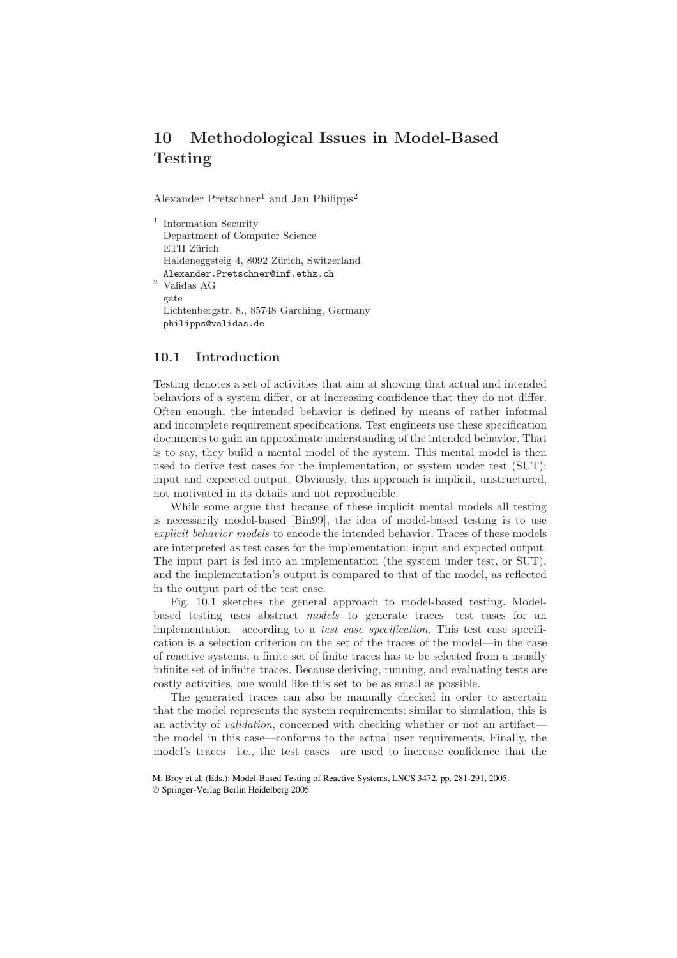# **10 Methodological Issues in Model-Based Testing**

Alexander Pretschner<sup>1</sup> and Jan Philipps<sup>2</sup>

<sup>1</sup> Information Security Department of Computer Science ETH Zürich Haldeneggsteig 4, 8092 Zürich, Switzerland Alexander.Pretschner@inf.ethz.ch  $^{\rm 2}$  Validas AG gate Lichtenbergstr. 8., 85748 Garching, Germany philipps@validas.de

# **10.1 Introduction**

Testing denotes a set of activities that aim at showing that actual and intended behaviors of a system differ, or at increasing confidence that they do not differ. Often enough, the intended behavior is defined by means of rather informal and incomplete requirement specifications. Test engineers use these specification documents to gain an approximate understanding of the intended behavior. That is to say, they build a mental model of the system. This mental model is then used to derive test cases for the implementation, or system under test (SUT): input and expected output. Obviously, this approach is implicit, unstructured, not motivated in its details and not reproducible.

While some argue that because of these implicit mental models all testing is necessarily model-based [Bin99], the idea of model-based testing is to use *explicit behavior models* to encode the intended behavior. Traces of these models are interpreted as test cases for the implementation: input and expected output. The input part is fed into an implementation (the system under test, or SUT), and the implementation's output is compared to that of the model, as reflected in the output part of the test case.

Fig. 10.1 sketches the general approach to model-based testing. Modelbased testing uses abstract *models* to generate traces—test cases for an implementation—according to a *test case specification*. This test case specification is a selection criterion on the set of the traces of the model—in the case of reactive systems, a finite set of finite traces has to be selected from a usually infinite set of infinite traces. Because deriving, running, and evaluating tests are costly activities, one would like this set to be as small as possible.

The generated traces can also be manually checked in order to ascertain that the model represents the system requirements: similar to simulation, this is an activity of *validation*, concerned with checking whether or not an artifact the model in this case—conforms to the actual user requirements. Finally, the model's traces—i.e., the test cases—are used to increase confidence that the

M. Broy et al. (Eds.): Model-Based Testing of Reactive Systems, LNCS 3472, pp. 281-291, 2005. Springer-Verlag Berlin Heidelberg 2005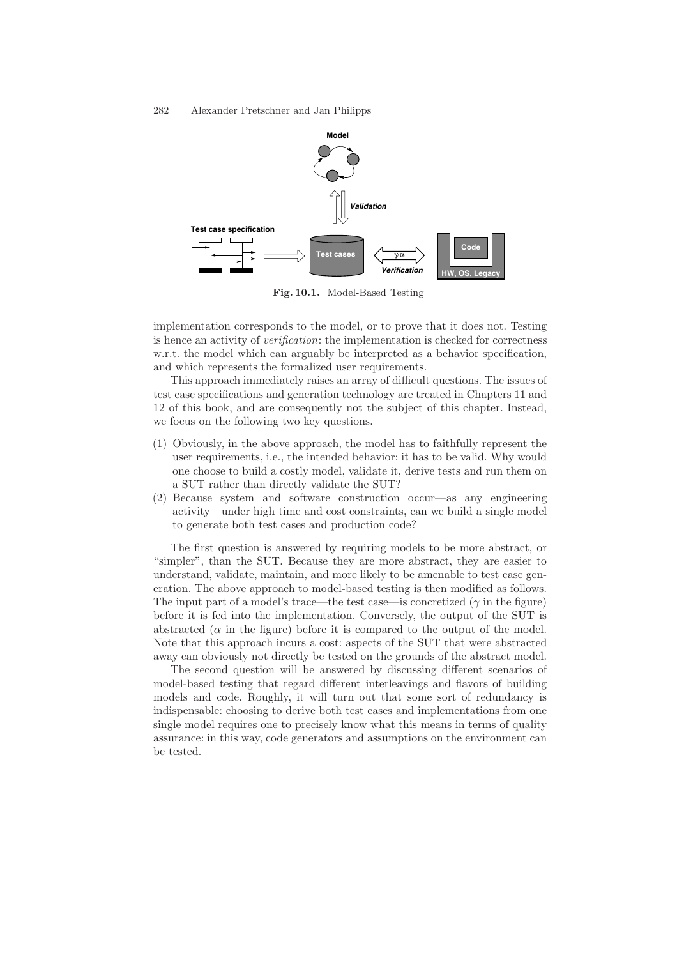

**Fig. 10.1.** Model-Based Testing

implementation corresponds to the model, or to prove that it does not. Testing is hence an activity of *verification*: the implementation is checked for correctness w.r.t. the model which can arguably be interpreted as a behavior specification, and which represents the formalized user requirements.

This approach immediately raises an array of difficult questions. The issues of test case specifications and generation technology are treated in Chapters 11 and 12 of this book, and are consequently not the subject of this chapter. Instead, we focus on the following two key questions.

- (1) Obviously, in the above approach, the model has to faithfully represent the user requirements, i.e., the intended behavior: it has to be valid. Why would one choose to build a costly model, validate it, derive tests and run them on a SUT rather than directly validate the SUT?
- (2) Because system and software construction occur—as any engineering activity—under high time and cost constraints, can we build a single model to generate both test cases and production code?

The first question is answered by requiring models to be more abstract, or "simpler", than the SUT. Because they are more abstract, they are easier to understand, validate, maintain, and more likely to be amenable to test case generation. The above approach to model-based testing is then modified as follows. The input part of a model's trace—the test case—is concretized  $(\gamma$  in the figure) before it is fed into the implementation. Conversely, the output of the SUT is abstracted ( $\alpha$  in the figure) before it is compared to the output of the model. Note that this approach incurs a cost: aspects of the SUT that were abstracted away can obviously not directly be tested on the grounds of the abstract model.

The second question will be answered by discussing different scenarios of model-based testing that regard different interleavings and flavors of building models and code. Roughly, it will turn out that some sort of redundancy is indispensable: choosing to derive both test cases and implementations from one single model requires one to precisely know what this means in terms of quality assurance: in this way, code generators and assumptions on the environment can be tested.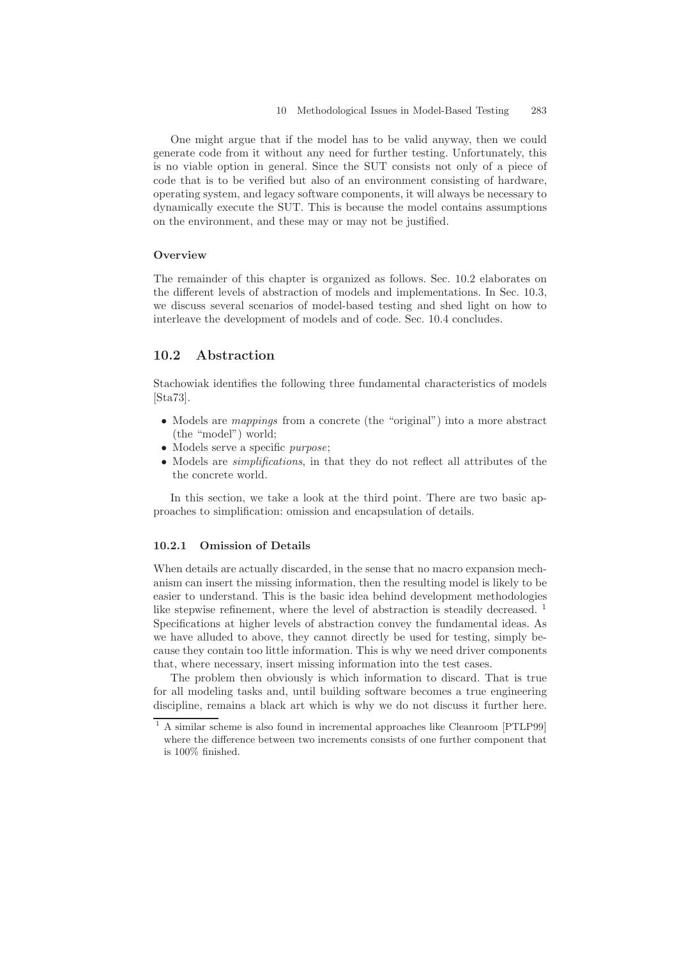One might argue that if the model has to be valid anyway, then we could generate code from it without any need for further testing. Unfortunately, this is no viable option in general. Since the SUT consists not only of a piece of code that is to be verified but also of an environment consisting of hardware, operating system, and legacy software components, it will always be necessary to dynamically execute the SUT. This is because the model contains assumptions on the environment, and these may or may not be justified.

#### **Overview**

The remainder of this chapter is organized as follows. Sec. 10.2 elaborates on the different levels of abstraction of models and implementations. In Sec. 10.3, we discuss several scenarios of model-based testing and shed light on how to interleave the development of models and of code. Sec. 10.4 concludes.

# **10.2 Abstraction**

Stachowiak identifies the following three fundamental characteristics of models [Sta73].

- Models are *mappings* from a concrete (the "original") into a more abstract (the "model") world;
- Models serve a specific *purpose*;
- Models are *simplifications*, in that they do not reflect all attributes of the the concrete world.

In this section, we take a look at the third point. There are two basic approaches to simplification: omission and encapsulation of details.

#### **10.2.1 Omission of Details**

When details are actually discarded, in the sense that no macro expansion mechanism can insert the missing information, then the resulting model is likely to be easier to understand. This is the basic idea behind development methodologies like stepwise refinement, where the level of abstraction is steadily decreased.  $1$ Specifications at higher levels of abstraction convey the fundamental ideas. As we have alluded to above, they cannot directly be used for testing, simply because they contain too little information. This is why we need driver components that, where necessary, insert missing information into the test cases.

The problem then obviously is which information to discard. That is true for all modeling tasks and, until building software becomes a true engineering discipline, remains a black art which is why we do not discuss it further here.

 $^1$  A similar scheme is also found in incremental approaches like Cleanroom [PTLP99] where the difference between two increments consists of one further component that is 100% finished.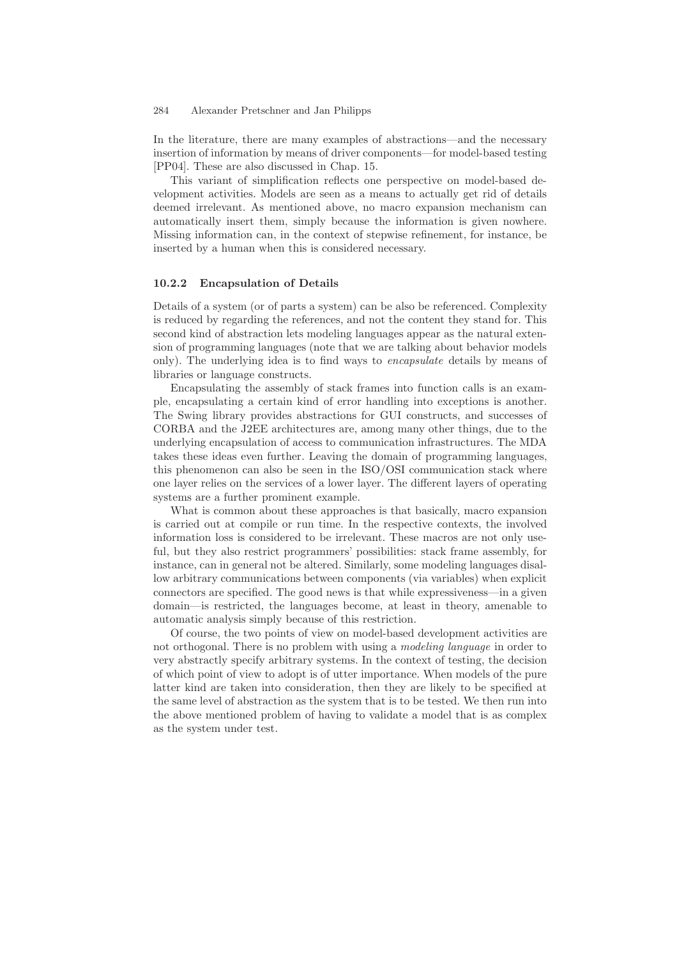In the literature, there are many examples of abstractions—and the necessary insertion of information by means of driver components—for model-based testing [PP04]. These are also discussed in Chap. 15.

This variant of simplification reflects one perspective on model-based development activities. Models are seen as a means to actually get rid of details deemed irrelevant. As mentioned above, no macro expansion mechanism can automatically insert them, simply because the information is given nowhere. Missing information can, in the context of stepwise refinement, for instance, be inserted by a human when this is considered necessary.

#### **10.2.2 Encapsulation of Details**

Details of a system (or of parts a system) can be also be referenced. Complexity is reduced by regarding the references, and not the content they stand for. This second kind of abstraction lets modeling languages appear as the natural extension of programming languages (note that we are talking about behavior models only). The underlying idea is to find ways to *encapsulate* details by means of libraries or language constructs.

Encapsulating the assembly of stack frames into function calls is an example, encapsulating a certain kind of error handling into exceptions is another. The Swing library provides abstractions for GUI constructs, and successes of CORBA and the J2EE architectures are, among many other things, due to the underlying encapsulation of access to communication infrastructures. The MDA takes these ideas even further. Leaving the domain of programming languages, this phenomenon can also be seen in the ISO/OSI communication stack where one layer relies on the services of a lower layer. The different layers of operating systems are a further prominent example.

What is common about these approaches is that basically, macro expansion is carried out at compile or run time. In the respective contexts, the involved information loss is considered to be irrelevant. These macros are not only useful, but they also restrict programmers' possibilities: stack frame assembly, for instance, can in general not be altered. Similarly, some modeling languages disallow arbitrary communications between components (via variables) when explicit connectors are specified. The good news is that while expressiveness—in a given domain—is restricted, the languages become, at least in theory, amenable to automatic analysis simply because of this restriction.

Of course, the two points of view on model-based development activities are not orthogonal. There is no problem with using a *modeling language* in order to very abstractly specify arbitrary systems. In the context of testing, the decision of which point of view to adopt is of utter importance. When models of the pure latter kind are taken into consideration, then they are likely to be specified at the same level of abstraction as the system that is to be tested. We then run into the above mentioned problem of having to validate a model that is as complex as the system under test.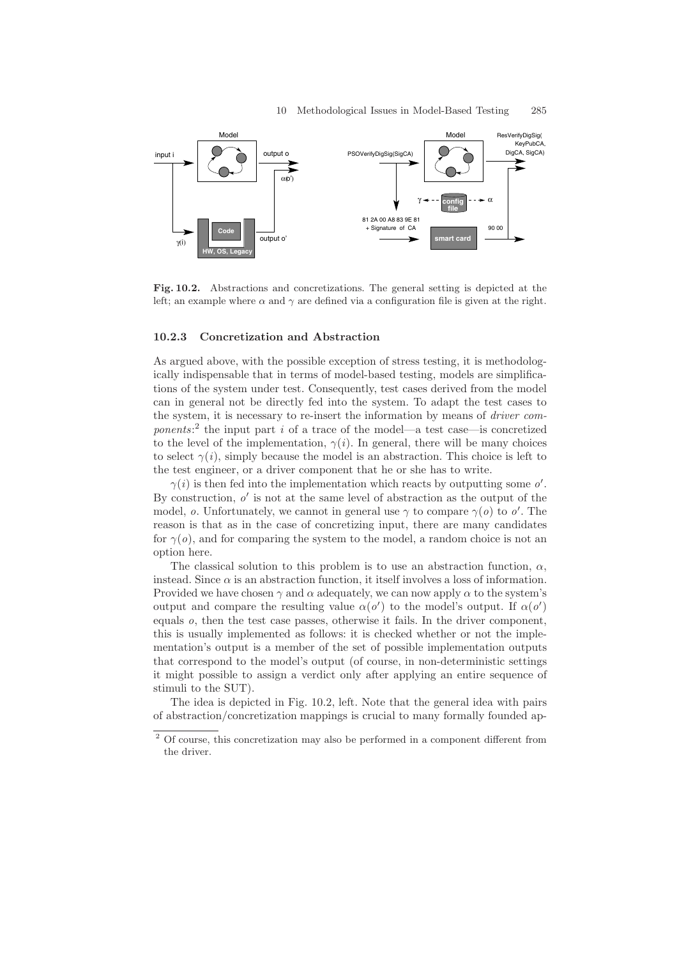

**Fig. 10.2.** Abstractions and concretizations. The general setting is depicted at the left; an example where  $\alpha$  and  $\gamma$  are defined via a configuration file is given at the right.

### **10.2.3 Concretization and Abstraction**

As argued above, with the possible exception of stress testing, it is methodologically indispensable that in terms of model-based testing, models are simplifications of the system under test. Consequently, test cases derived from the model can in general not be directly fed into the system. To adapt the test cases to the system, it is necessary to re-insert the information by means of *driver components*: <sup>2</sup> the input part *i* of a trace of the model—a test case—is concretized to the level of the implementation,  $\gamma(i)$ . In general, there will be many choices to select  $\gamma(i)$ , simply because the model is an abstraction. This choice is left to the test engineer, or a driver component that he or she has to write.

 $\gamma(i)$  is then fed into the implementation which reacts by outputting some  $o'$ . By construction,  $o'$  is not at the same level of abstraction as the output of the model, *o*. Unfortunately, we cannot in general use  $\gamma$  to compare  $\gamma$  (*o*) to *o'*. The reason is that as in the case of concretizing input, there are many candidates for  $\gamma$ ( $o$ ), and for comparing the system to the model, a random choice is not an option here.

The classical solution to this problem is to use an abstraction function,  $\alpha$ , instead. Since  $\alpha$  is an abstraction function, it itself involves a loss of information. Provided we have chosen  $\gamma$  and  $\alpha$  adequately, we can now apply  $\alpha$  to the system's output and compare the resulting value  $\alpha$ (*o'*) to the model's output. If  $\alpha$ (*o'*) equals *o*, then the test case passes, otherwise it fails. In the driver component, this is usually implemented as follows: it is checked whether or not the implementation's output is a member of the set of possible implementation outputs that correspond to the model's output (of course, in non-deterministic settings it might possible to assign a verdict only after applying an entire sequence of stimuli to the SUT).

The idea is depicted in Fig. 10.2, left. Note that the general idea with pairs of abstraction/concretization mappings is crucial to many formally founded ap-

<sup>&</sup>lt;sup>2</sup> Of course, this concretization may also be performed in a component different from the driver.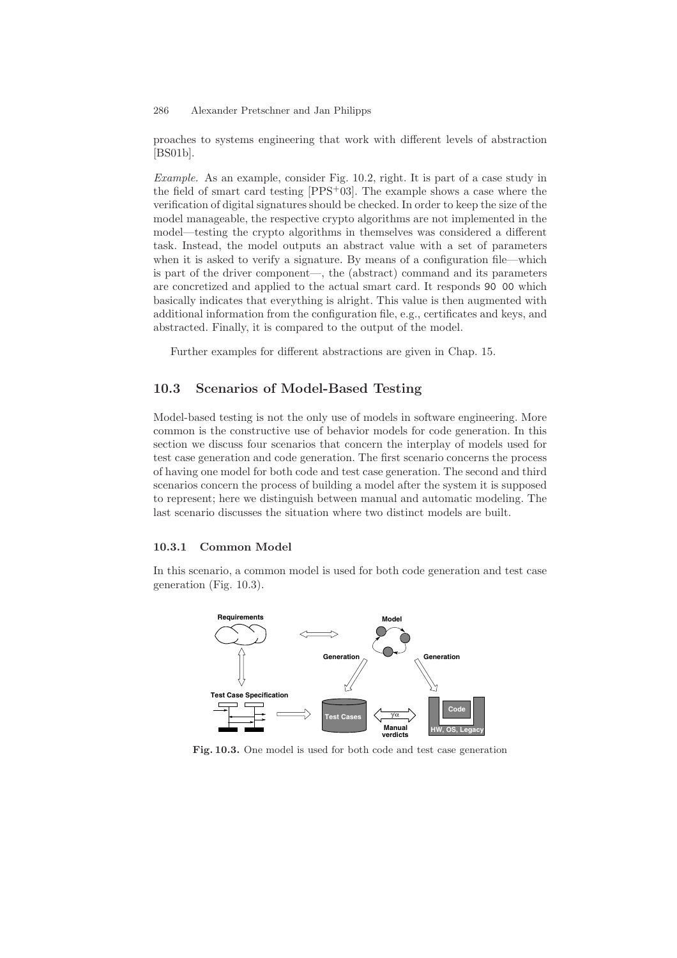proaches to systems engineering that work with different levels of abstraction [BS01b].

*Example.* As an example, consider Fig. 10.2, right. It is part of a case study in the field of smart card testing  $[PPS^+03]$ . The example shows a case where the verification of digital signatures should be checked. In order to keep the size of the model manageable, the respective crypto algorithms are not implemented in the model—testing the crypto algorithms in themselves was considered a different task. Instead, the model outputs an abstract value with a set of parameters when it is asked to verify a signature. By means of a configuration file—which is part of the driver component—, the (abstract) command and its parameters are concretized and applied to the actual smart card. It responds 90 00 which basically indicates that everything is alright. This value is then augmented with additional information from the configuration file, e.g., certificates and keys, and abstracted. Finally, it is compared to the output of the model.

Further examples for different abstractions are given in Chap. 15.

## **10.3 Scenarios of Model-Based Testing**

Model-based testing is not the only use of models in software engineering. More common is the constructive use of behavior models for code generation. In this section we discuss four scenarios that concern the interplay of models used for test case generation and code generation. The first scenario concerns the process of having one model for both code and test case generation. The second and third scenarios concern the process of building a model after the system it is supposed to represent; here we distinguish between manual and automatic modeling. The last scenario discusses the situation where two distinct models are built.

#### **10.3.1 Common Model**

In this scenario, a common model is used for both code generation and test case generation (Fig. 10.3).



**Fig. 10.3.** One model is used for both code and test case generation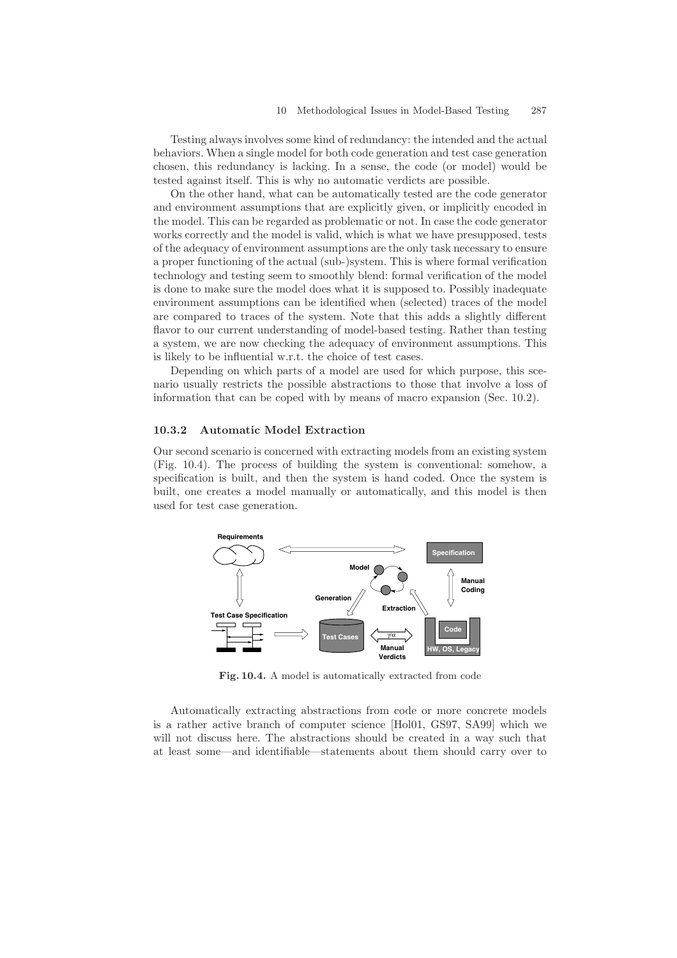Testing always involves some kind of redundancy: the intended and the actual behaviors. When a single model for both code generation and test case generation chosen, this redundancy is lacking. In a sense, the code (or model) would be tested against itself. This is why no automatic verdicts are possible.

On the other hand, what can be automatically tested are the code generator and environment assumptions that are explicitly given, or implicitly encoded in the model. This can be regarded as problematic or not. In case the code generator works correctly and the model is valid, which is what we have presupposed, tests of the adequacy of environment assumptions are the only task necessary to ensure a proper functioning of the actual (sub-)system. This is where formal verification technology and testing seem to smoothly blend: formal verification of the model is done to make sure the model does what it is supposed to. Possibly inadequate environment assumptions can be identified when (selected) traces of the model are compared to traces of the system. Note that this adds a slightly different flavor to our current understanding of model-based testing. Rather than testing a system, we are now checking the adequacy of environment assumptions. This is likely to be influential w.r.t. the choice of test cases.

Depending on which parts of a model are used for which purpose, this scenario usually restricts the possible abstractions to those that involve a loss of information that can be coped with by means of macro expansion (Sec. 10.2).

#### **10.3.2 Automatic Model Extraction**

Our second scenario is concerned with extracting models from an existing system (Fig. 10.4). The process of building the system is conventional: somehow, a specification is built, and then the system is hand coded. Once the system is built, one creates a model manually or automatically, and this model is then used for test case generation.



**Fig. 10.4.** A model is automatically extracted from code

Automatically extracting abstractions from code or more concrete models is a rather active branch of computer science [Hol01, GS97, SA99] which we will not discuss here. The abstractions should be created in a way such that at least some—and identifiable—statements about them should carry over to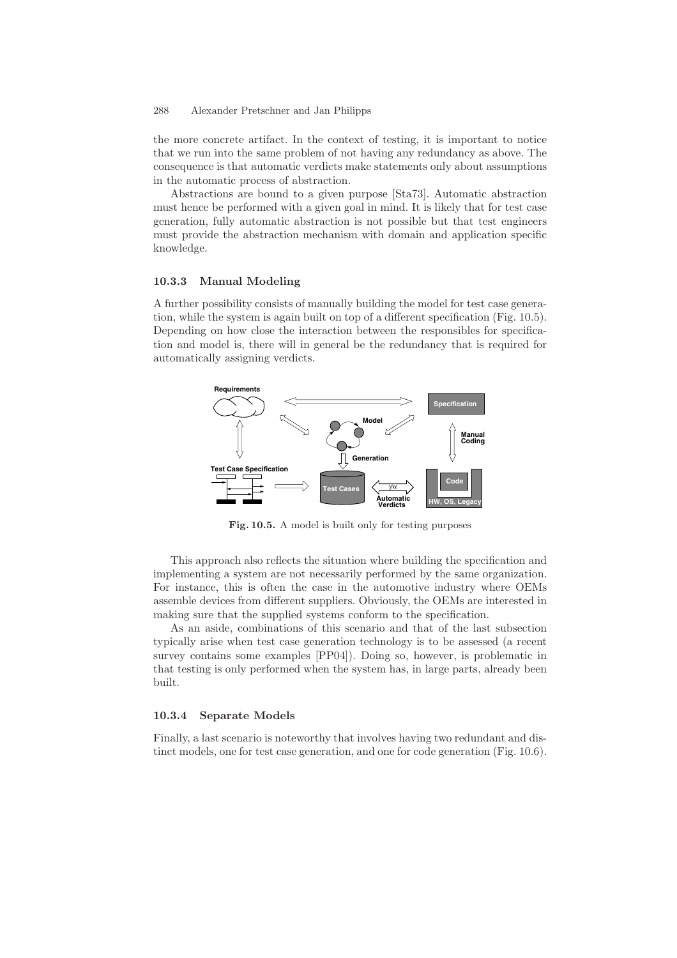the more concrete artifact. In the context of testing, it is important to notice that we run into the same problem of not having any redundancy as above. The consequence is that automatic verdicts make statements only about assumptions in the automatic process of abstraction.

Abstractions are bound to a given purpose [Sta73]. Automatic abstraction must hence be performed with a given goal in mind. It is likely that for test case generation, fully automatic abstraction is not possible but that test engineers must provide the abstraction mechanism with domain and application specific knowledge.

#### **10.3.3 Manual Modeling**

A further possibility consists of manually building the model for test case generation, while the system is again built on top of a different specification (Fig. 10.5). Depending on how close the interaction between the responsibles for specification and model is, there will in general be the redundancy that is required for automatically assigning verdicts.



**Fig. 10.5.** A model is built only for testing purposes

This approach also reflects the situation where building the specification and implementing a system are not necessarily performed by the same organization. For instance, this is often the case in the automotive industry where OEMs assemble devices from different suppliers. Obviously, the OEMs are interested in making sure that the supplied systems conform to the specification.

As an aside, combinations of this scenario and that of the last subsection typically arise when test case generation technology is to be assessed (a recent survey contains some examples [PP04]). Doing so, however, is problematic in that testing is only performed when the system has, in large parts, already been built.

#### **10.3.4 Separate Models**

Finally, a last scenario is noteworthy that involves having two redundant and distinct models, one for test case generation, and one for code generation (Fig. 10.6).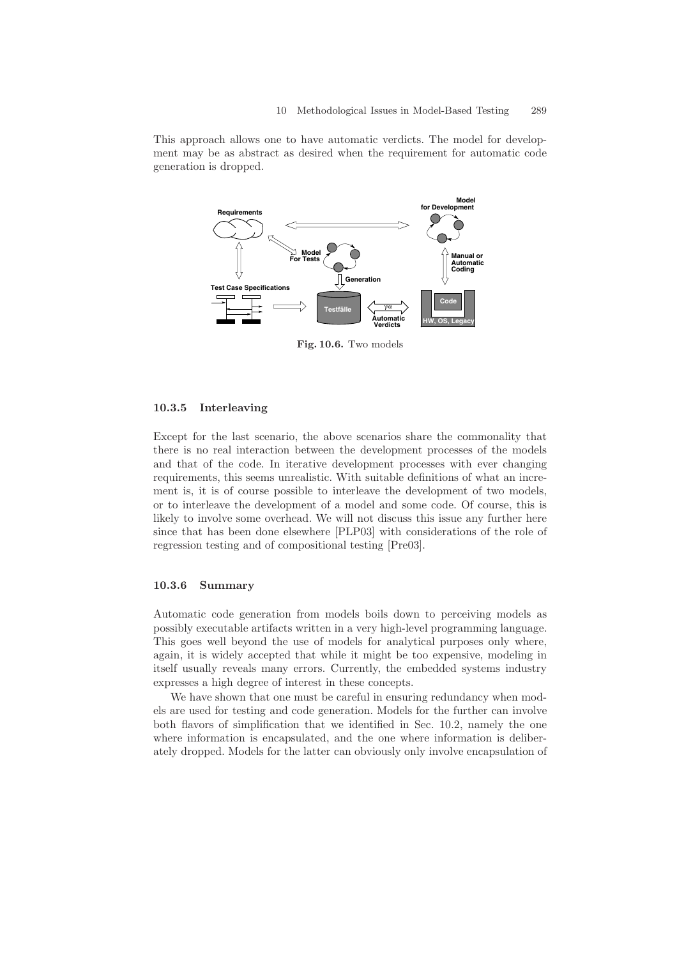This approach allows one to have automatic verdicts. The model for development may be as abstract as desired when the requirement for automatic code generation is dropped.



**Fig. 10.6.** Two models

#### **10.3.5 Interleaving**

Except for the last scenario, the above scenarios share the commonality that there is no real interaction between the development processes of the models and that of the code. In iterative development processes with ever changing requirements, this seems unrealistic. With suitable definitions of what an increment is, it is of course possible to interleave the development of two models, or to interleave the development of a model and some code. Of course, this is likely to involve some overhead. We will not discuss this issue any further here since that has been done elsewhere [PLP03] with considerations of the role of regression testing and of compositional testing [Pre03].

#### **10.3.6 Summary**

Automatic code generation from models boils down to perceiving models as possibly executable artifacts written in a very high-level programming language. This goes well beyond the use of models for analytical purposes only where, again, it is widely accepted that while it might be too expensive, modeling in itself usually reveals many errors. Currently, the embedded systems industry expresses a high degree of interest in these concepts.

We have shown that one must be careful in ensuring redundancy when models are used for testing and code generation. Models for the further can involve both flavors of simplification that we identified in Sec. 10.2, namely the one where information is encapsulated, and the one where information is deliberately dropped. Models for the latter can obviously only involve encapsulation of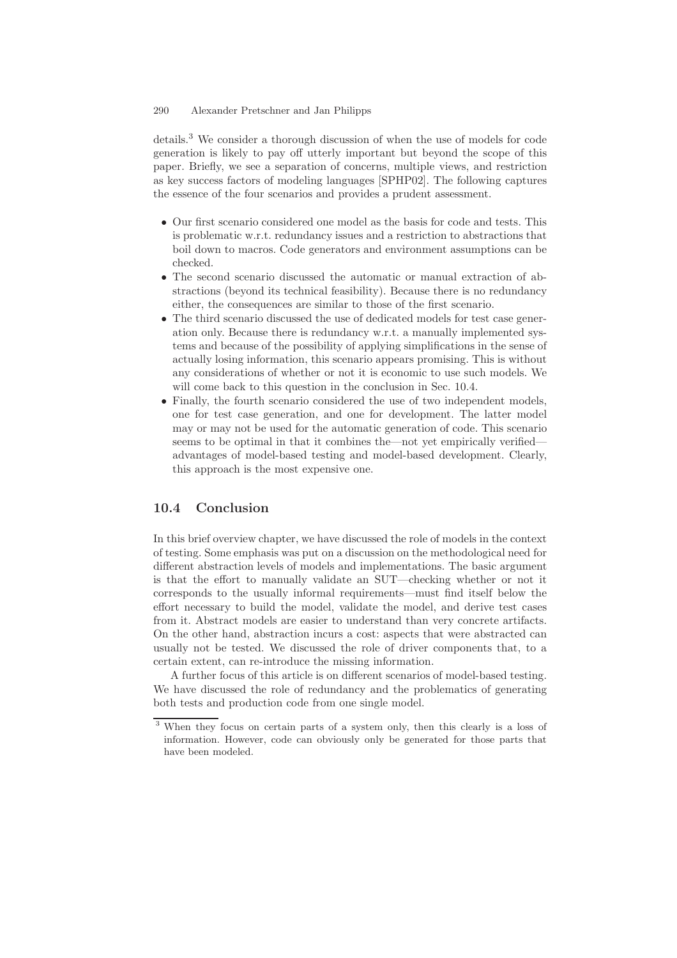details.<sup>3</sup> We consider a thorough discussion of when the use of models for code generation is likely to pay off utterly important but beyond the scope of this paper. Briefly, we see a separation of concerns, multiple views, and restriction as key success factors of modeling languages [SPHP02]. The following captures the essence of the four scenarios and provides a prudent assessment.

- Our first scenario considered one model as the basis for code and tests. This is problematic w.r.t. redundancy issues and a restriction to abstractions that boil down to macros. Code generators and environment assumptions can be checked.
- The second scenario discussed the automatic or manual extraction of abstractions (beyond its technical feasibility). Because there is no redundancy either, the consequences are similar to those of the first scenario.
- The third scenario discussed the use of dedicated models for test case generation only. Because there is redundancy w.r.t. a manually implemented systems and because of the possibility of applying simplifications in the sense of actually losing information, this scenario appears promising. This is without any considerations of whether or not it is economic to use such models. We will come back to this question in the conclusion in Sec. 10.4.
- Finally, the fourth scenario considered the use of two independent models, one for test case generation, and one for development. The latter model may or may not be used for the automatic generation of code. This scenario seems to be optimal in that it combines the—not yet empirically verified advantages of model-based testing and model-based development. Clearly, this approach is the most expensive one.

# **10.4 Conclusion**

In this brief overview chapter, we have discussed the role of models in the context of testing. Some emphasis was put on a discussion on the methodological need for different abstraction levels of models and implementations. The basic argument is that the effort to manually validate an SUT—checking whether or not it corresponds to the usually informal requirements—must find itself below the effort necessary to build the model, validate the model, and derive test cases from it. Abstract models are easier to understand than very concrete artifacts. On the other hand, abstraction incurs a cost: aspects that were abstracted can usually not be tested. We discussed the role of driver components that, to a certain extent, can re-introduce the missing information.

A further focus of this article is on different scenarios of model-based testing. We have discussed the role of redundancy and the problematics of generating both tests and production code from one single model.

<sup>3</sup> When they focus on certain parts of a system only, then this clearly is a loss of information. However, code can obviously only be generated for those parts that have been modeled.